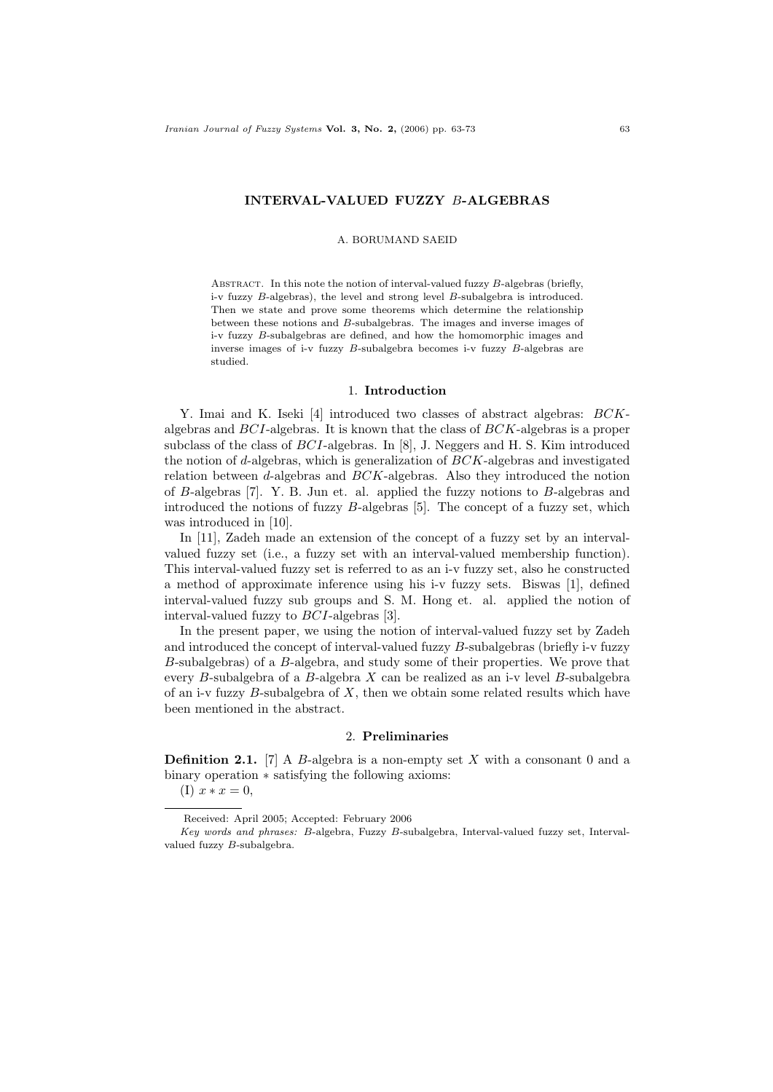#### INTERVAL-VALUED FUZZY B-ALGEBRAS

#### A. BORUMAND SAEID

ABSTRACT. In this note the notion of interval-valued fuzzy  $B$ -algebras (briefly, i-v fuzzy B-algebras), the level and strong level B-subalgebra is introduced. Then we state and prove some theorems which determine the relationship between these notions and B-subalgebras. The images and inverse images of i-v fuzzy B-subalgebras are defined, and how the homomorphic images and inverse images of i-v fuzzy B-subalgebra becomes i-v fuzzy B-algebras are studied.

## 1. Introduction

Y. Imai and K. Iseki [4] introduced two classes of abstract algebras: BCKalgebras and BCI-algebras. It is known that the class of BCK-algebras is a proper subclass of the class of BCI-algebras. In [8], J. Neggers and H. S. Kim introduced the notion of d-algebras, which is generalization of  $BCK$ -algebras and investigated relation between d-algebras and  $BCK$ -algebras. Also they introduced the notion of B-algebras [7]. Y. B. Jun et. al. applied the fuzzy notions to B-algebras and introduced the notions of fuzzy B-algebras [5]. The concept of a fuzzy set, which was introduced in [10].

In [11], Zadeh made an extension of the concept of a fuzzy set by an intervalvalued fuzzy set (i.e., a fuzzy set with an interval-valued membership function). This interval-valued fuzzy set is referred to as an i-v fuzzy set, also he constructed a method of approximate inference using his i-v fuzzy sets. Biswas [1], defined interval-valued fuzzy sub groups and S. M. Hong et. al. applied the notion of interval-valued fuzzy to BCI-algebras [3].

In the present paper, we using the notion of interval-valued fuzzy set by Zadeh and introduced the concept of interval-valued fuzzy B-subalgebras (briefly i-v fuzzy B-subalgebras) of a B-algebra, and study some of their properties. We prove that every B-subalgebra of a B-algebra  $X$  can be realized as an i-v level B-subalgebra of an i-v fuzzy  $B$ -subalgebra of  $X$ , then we obtain some related results which have been mentioned in the abstract.

### 2. Preliminaries

**Definition 2.1.** [7] A B-algebra is a non-empty set X with a consonant 0 and a binary operation ∗ satisfying the following axioms:

(I)  $x * x = 0$ .

Received: April 2005; Accepted: February 2006

Key words and phrases: B-algebra, Fuzzy B-subalgebra, Interval-valued fuzzy set, Intervalvalued fuzzy B-subalgebra.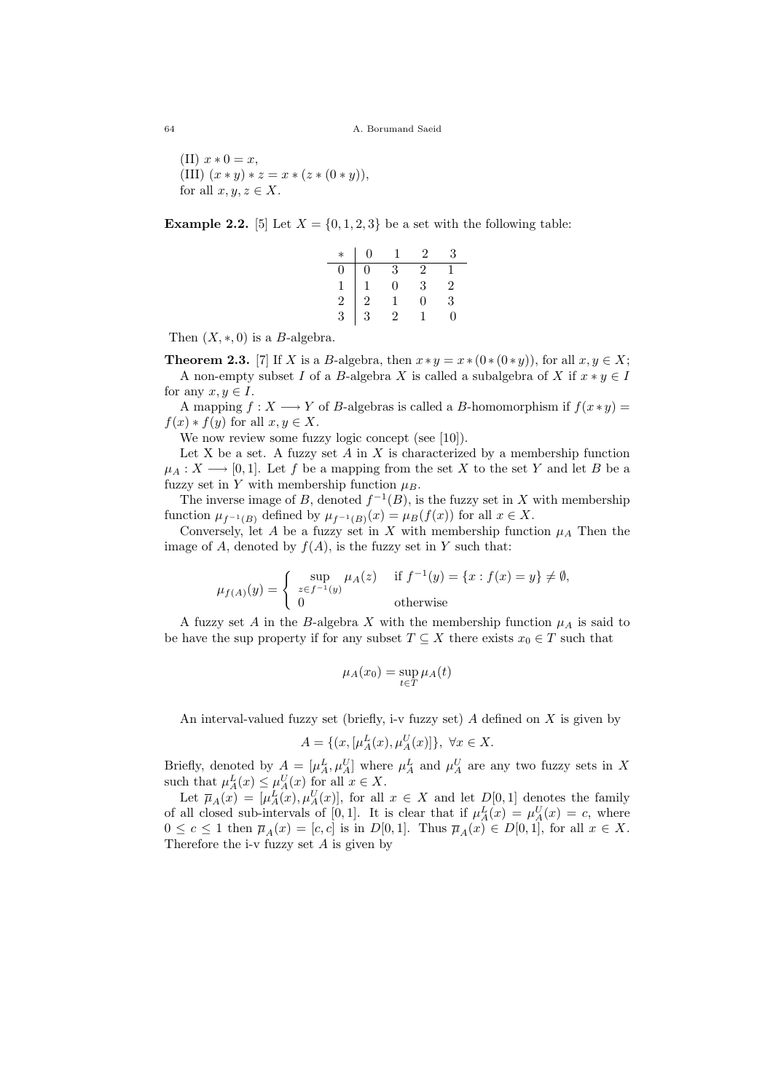64 A. Borumand Saeid

(II)  $x * 0 = x$ , (III)  $(x * y) * z = x * (z * (0 * y)),$ for all  $x, y, z \in X$ .

**Example 2.2.** [5] Let  $X = \{0, 1, 2, 3\}$  be a set with the following table:

| $\ast$        | 0                                          | ı              | $\overline{2}$ | 3              |
|---------------|--------------------------------------------|----------------|----------------|----------------|
| 0             | 0                                          | 3              | 2              |                |
|               |                                            | $\overline{0}$ | 3              | $\overline{2}$ |
| $\frac{1}{2}$ | $\begin{array}{c} 1 \\ 2 \\ 3 \end{array}$ |                | 0              | 3              |
|               |                                            | 2              |                | 0              |

Then  $(X, \ast, 0)$  is a B-algebra.

**Theorem 2.3.** [7] If X is a B-algebra, then  $x * y = x * (0 * (0 * y))$ , for all  $x, y \in X$ ; A non-empty subset I of a B-algebra X is called a subalgebra of X if  $x * y \in I$ 

for any  $x, y \in I$ . A mapping  $f: X \longrightarrow Y$  of B-algebras is called a B-homomorphism if  $f(x * y) =$  $f(x) * f(y)$  for all  $x, y \in X$ .

We now review some fuzzy logic concept (see [10]).

Let X be a set. A fuzzy set  $A$  in  $X$  is characterized by a membership function  $\mu_A: X \longrightarrow [0,1].$  Let f be a mapping from the set X to the set Y and let B be a fuzzy set in Y with membership function  $\mu_B$ .

The inverse image of B, denoted  $f^{-1}(B)$ , is the fuzzy set in X with membership function  $\mu_{f^{-1}(B)}$  defined by  $\mu_{f^{-1}(B)}(x) = \mu_B(f(x))$  for all  $x \in X$ .

Conversely, let A be a fuzzy set in X with membership function  $\mu_A$  Then the image of A, denoted by  $f(A)$ , is the fuzzy set in Y such that:

$$
\mu_{f(A)}(y) = \begin{cases}\n\sup_{z \in f^{-1}(y)} \mu_A(z) & \text{if } f^{-1}(y) = \{x : f(x) = y\} \neq \emptyset, \\
0 & \text{otherwise}\n\end{cases}
$$

A fuzzy set A in the B-algebra X with the membership function  $\mu_A$  is said to be have the sup property if for any subset  $T \subseteq X$  there exists  $x_0 \in T$  such that

$$
\mu_A(x_0) = \sup_{t \in T} \mu_A(t)
$$

An interval-valued fuzzy set (briefly, i-v fuzzy set)  $A$  defined on  $X$  is given by

$$
A = \{ (x, [\mu_A^L(x), \mu_A^U(x)] \}, \ \forall x \in X.
$$

Briefly, denoted by  $A = [\mu_A^L, \mu_A^U]$  where  $\mu_A^L$  and  $\mu_A^U$  are any two fuzzy sets in X such that  $\mu_A^L(x) \leq \mu_A^U(x)$  for all  $x \in X$ .

Let  $\overline{\mu}_A(x) = [\mu_A^L(x), \mu_A^U(x)],$  for all  $x \in X$  and let  $D[0,1]$  denotes the family of all closed sub-intervals of [0,1]. It is clear that if  $\mu_A^L(x) = \mu_A^U(x) = c$ , where  $0 \leq c \leq 1$  then  $\overline{\mu}_A(x) = [c, c]$  is in  $D[0, 1]$ . Thus  $\overline{\mu}_A(x) \in D[0, 1]$ , for all  $x \in X$ . Therefore the i-v fuzzy set  $A$  is given by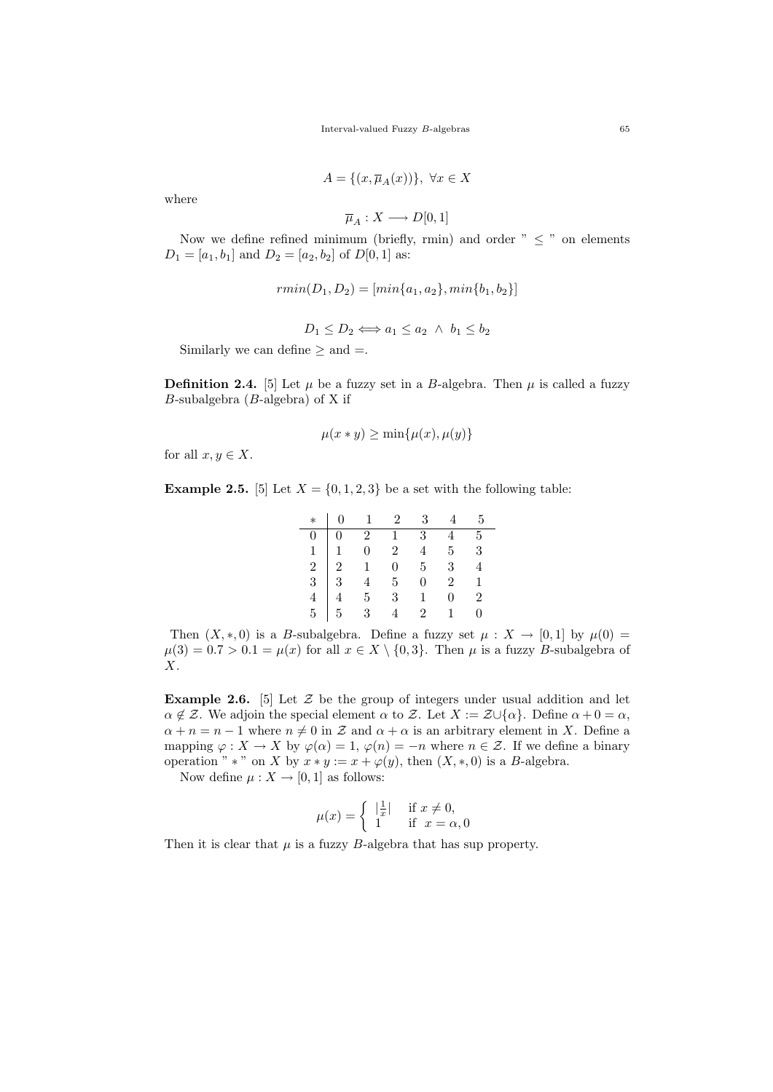Interval-valued Fuzzy B-algebras 65

$$
A = \{(x, \overline{\mu}_A(x))\}, \ \forall x \in X
$$

where

$$
\overline{\mu}_A:X\longrightarrow D[0,1]
$$

Now we define refined minimum (briefly, rmin) and order  $" < "$  on elements  $D_1 = [a_1, b_1]$  and  $D_2 = [a_2, b_2]$  of  $D[0, 1]$  as:

$$
rmin(D_1, D_2) = [min\{a_1, a_2\}, min\{b_1, b_2\}]
$$

$$
D_1 \le D_2 \Longleftrightarrow a_1 \le a_2 \ \land \ b_1 \le b_2
$$

Similarly we can define  $\geq$  and  $=$ .

**Definition 2.4.** [5] Let  $\mu$  be a fuzzy set in a B-algebra. Then  $\mu$  is called a fuzzy  $B$ -subalgebra ( $B$ -algebra) of X if

$$
\mu(x * y) \ge \min\{\mu(x), \mu(y)\}\
$$

for all  $x, y \in X$ .

**Example 2.5.** [5] Let  $X = \{0, 1, 2, 3\}$  be a set with the following table:

|  |  | $*   0 1 2 3 4 5$ |  |
|--|--|-------------------|--|
|  |  |                   |  |
|  |  |                   |  |
|  |  |                   |  |
|  |  |                   |  |
|  |  |                   |  |
|  |  |                   |  |

Then  $(X,*,0)$  is a B-subalgebra. Define a fuzzy set  $\mu : X \to [0,1]$  by  $\mu(0) =$  $\mu(3) = 0.7 > 0.1 = \mu(x)$  for all  $x \in X \setminus \{0, 3\}$ . Then  $\mu$  is a fuzzy B-subalgebra of  $X$ .

**Example 2.6.** [5] Let  $\mathcal{Z}$  be the group of integers under usual addition and let  $\alpha \notin \mathcal{Z}$ . We adjoin the special element  $\alpha$  to  $\mathcal{Z}$ . Let  $X := \mathcal{Z} \cup \{\alpha\}$ . Define  $\alpha + 0 = \alpha$ ,  $\alpha + n = n - 1$  where  $n \neq 0$  in Z and  $\alpha + \alpha$  is an arbitrary element in X. Define a mapping  $\varphi: X \to X$  by  $\varphi(\alpha) = 1$ ,  $\varphi(n) = -n$  where  $n \in \mathcal{Z}$ . If we define a binary operation " \* " on X by  $x * y := x + \varphi(y)$ , then  $(X, *, 0)$  is a B-algebra.

Now define  $\mu: X \to [0, 1]$  as follows:

$$
\mu(x) = \begin{cases} |\frac{1}{x}| & \text{if } x \neq 0, \\ 1 & \text{if } x = \alpha, 0 \end{cases}
$$

Then it is clear that  $\mu$  is a fuzzy B-algebra that has sup property.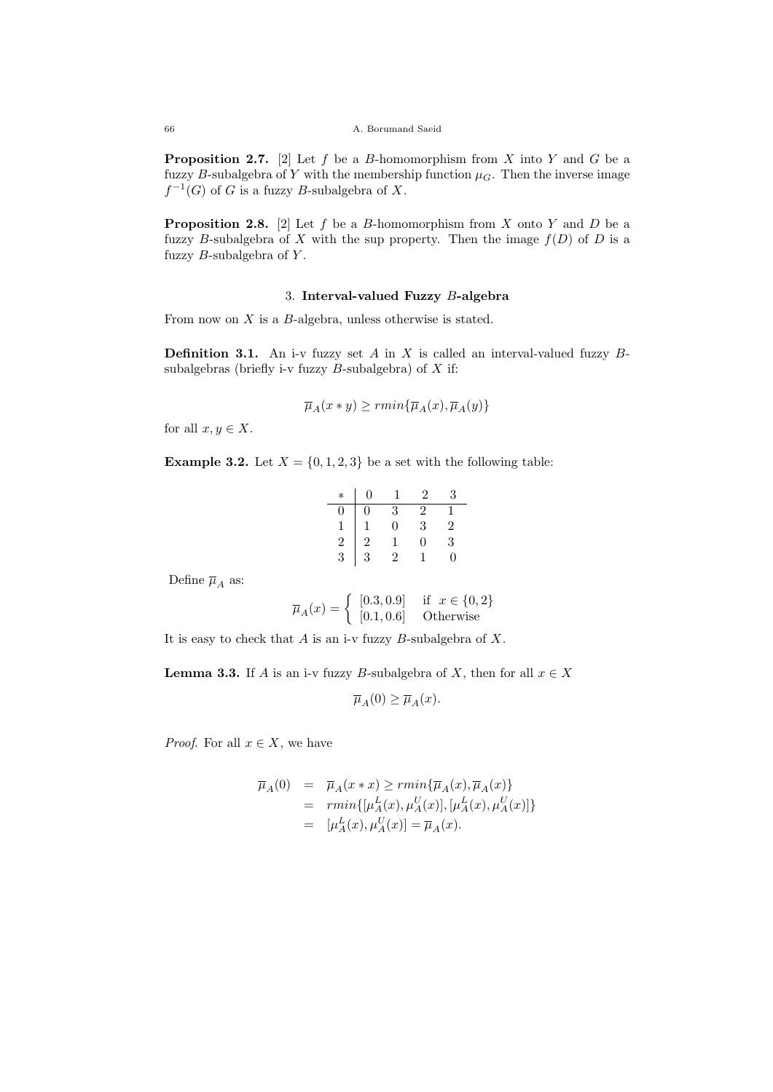**Proposition 2.7.** [2] Let f be a B-homomorphism from X into Y and G be a fuzzy B-subalgebra of Y with the membership function  $\mu_G$ . Then the inverse image  $f^{-1}(G)$  of G is a fuzzy B-subalgebra of X.

**Proposition 2.8.** [2] Let f be a B-homomorphism from X onto Y and D be a fuzzy B-subalgebra of X with the sup property. Then the image  $f(D)$  of D is a fuzzy  $B$ -subalgebra of  $Y$ .

# 3. Interval-valued Fuzzy B-algebra

From now on X is a B-algebra, unless otherwise is stated.

**Definition 3.1.** An i-v fuzzy set  $A$  in  $X$  is called an interval-valued fuzzy  $B$ subalgebras (briefly i-v fuzzy  $B$ -subalgebra) of  $X$  if:

$$
\overline{\mu}_A(x*y)\geq rmin\{\overline{\mu}_A(x),\overline{\mu}_A(y)\}
$$

for all  $x, y \in X$ .

**Example 3.2.** Let  $X = \{0, 1, 2, 3\}$  be a set with the following table:

|                                 | 0                                               |                                      | $\overline{2}$ | 3                 |
|---------------------------------|-------------------------------------------------|--------------------------------------|----------------|-------------------|
|                                 |                                                 | $\begin{matrix} 3 \\ 0 \end{matrix}$ | $\frac{2}{3}$  |                   |
|                                 |                                                 |                                      |                | $\frac{2}{3}$     |
| $\begin{smallmatrix}0&1\1&2\3&$ | $\begin{array}{c} 0 \\ 1 \\ 2 \\ 3 \end{array}$ |                                      | $\Omega$       |                   |
|                                 |                                                 | 2                                    |                | $\mathbf{\Omega}$ |
|                                 |                                                 |                                      |                |                   |

Define  $\overline{\mu}_A$  as:

$$
\overline{\mu}_A(x) = \begin{cases} [0.3, 0.9] & \text{if } x \in \{0, 2\} \\ [0.1, 0.6] & \text{Otherwise} \end{cases}
$$

It is easy to check that  $A$  is an i-v fuzzy  $B$ -subalgebra of  $X$ .

**Lemma 3.3.** If A is an i-v fuzzy B-subalgebra of X, then for all  $x \in X$ 

$$
\overline{\mu}_A(0) \ge \overline{\mu}_A(x).
$$

*Proof.* For all  $x \in X$ , we have

$$
\overline{\mu}_A(0) = \overline{\mu}_A(x * x) \ge r \min{\{\overline{\mu}_A(x), \overline{\mu}_A(x)\}}
$$
  
=  $r \min{\{\mu_A^L(x), \mu_A^U(x)], [\mu_A^L(x), \mu_A^U(x)]\}}$   
=  $[\mu_A^L(x), \mu_A^U(x)] = \overline{\mu}_A(x).$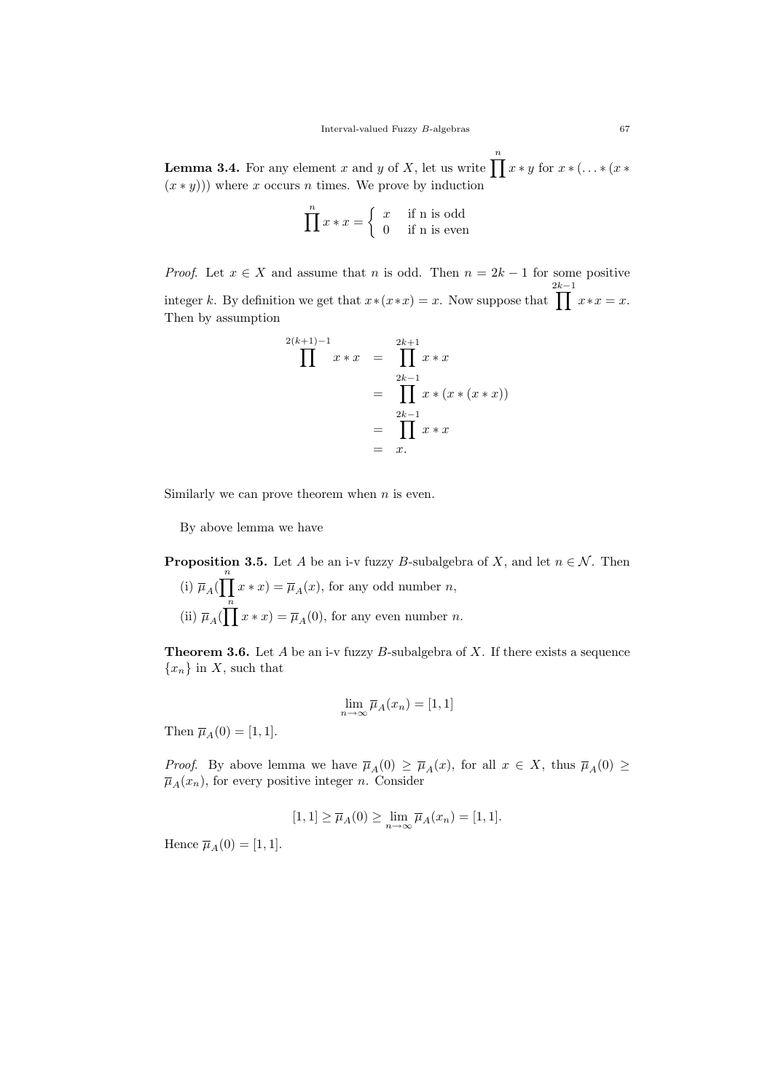**Lemma 3.4.** For any element x and y of X, let us write  $\prod_{x}^{n} x * y$  for  $x * ( \dots * (x * y))$  $(x * y)$ ) where x occurs n times. We prove by induction

$$
\prod^{n} x * x = \begin{cases} x & \text{if n is odd} \\ 0 & \text{if n is even} \end{cases}
$$

*Proof.* Let  $x \in X$  and assume that n is odd. Then  $n = 2k - 1$  for some positive integer k. By definition we get that  $x*(x*x) = x$ . Now suppose that  $\prod^{2k-1}$  $x * x = x.$ Then by assumption

$$
\prod^{2(k+1)-1} x * x = \prod^{2k+1} x * x
$$
  
= 
$$
\prod^{2k-1} x * (x * (x * x))
$$
  
= 
$$
\prod^{2k-1} x * x
$$
  
= x.

Similarly we can prove theorem when  $n$  is even.

By above lemma we have

**Proposition 3.5.** Let A be an i-v fuzzy B-subalgebra of X, and let  $n \in \mathcal{N}$ . Then (i)  $\overline{\mu}_A(\prod^n x * x) = \overline{\mu}_A(x)$ , for any odd number *n*, (ii)  $\overline{\mu}_A(\prod^n x * x) = \overline{\mu}_A(0)$ , for any even number *n*.

**Theorem 3.6.** Let A be an i-v fuzzy B-subalgebra of X. If there exists a sequence  ${x_n}$  in X, such that

$$
\lim_{n \to \infty} \overline{\mu}_A(x_n) = [1, 1]
$$

Then  $\overline{\mu}_A(0) = [1, 1].$ 

*Proof.* By above lemma we have  $\overline{\mu}_A(0) \ge \overline{\mu}_A(x)$ , for all  $x \in X$ , thus  $\overline{\mu}_A(0) \ge$  $\overline{\mu}_A(x_n)$ , for every positive integer *n*. Consider

$$
[1,1] \ge \overline{\mu}_A(0) \ge \lim_{n \to \infty} \overline{\mu}_A(x_n) = [1,1].
$$

Hence  $\overline{\mu}_A(0) = [1, 1].$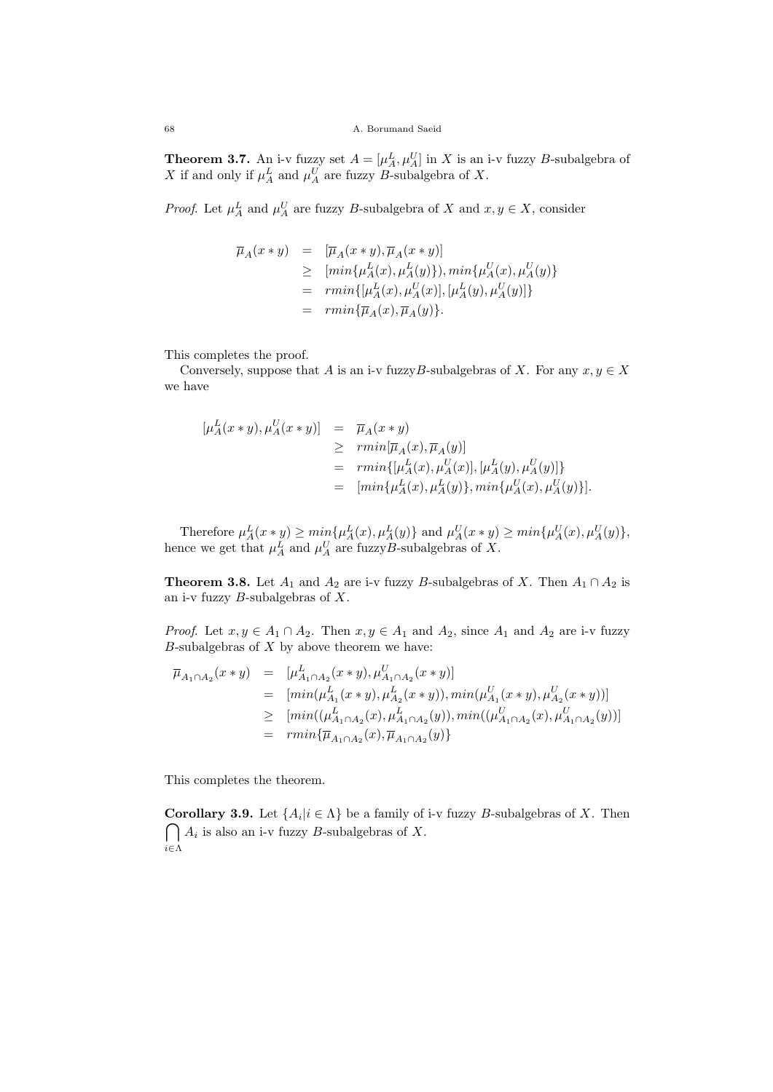**Theorem 3.7.** An i-v fuzzy set  $A = [\mu_A^L, \mu_A^U]$  in X is an i-v fuzzy B-subalgebra of X if and only if  $\mu_A^L$  and  $\mu_A^U$  are fuzzy B-subalgebra of X.

*Proof.* Let  $\mu_A^L$  and  $\mu_A^U$  are fuzzy B-subalgebra of X and  $x, y \in X$ , consider

$$
\overline{\mu}_A(x * y) = [\overline{\mu}_A(x * y), \overline{\mu}_A(x * y)]
$$
\n
$$
\geq [\min\{\mu_A^L(x), \mu_A^L(y)\}), \min\{\mu_A^U(x), \mu_A^U(y)\}]
$$
\n
$$
= \min\{[\mu_A^L(x), \mu_A^U(x)], [\mu_A^L(y), \mu_A^U(y)]\}
$$
\n
$$
= \min\{\overline{\mu}_A(x), \overline{\mu}_A(y)\}.
$$

This completes the proof.

Conversely, suppose that A is an i-v fuzzyB-subalgebras of X. For any  $x, y \in X$ we have

$$
\begin{array}{rcl}\n[\mu_A^L(x * y), \mu_A^U(x * y)] & = & \overline{\mu}_A(x * y) \\
& \geq & rmin[\overline{\mu}_A(x), \overline{\mu}_A(y)] \\
& = & rmin\{[\mu_A^L(x), \mu_A^U(x)], [\mu_A^L(y), \mu_A^U(y)]\} \\
& = & [min\{\mu_A^L(x), \mu_A^L(y)\}, min\{\mu_A^U(x), \mu_A^U(y)\}].\n\end{array}
$$

Therefore  $\mu_A^L(x * y) \ge \min\{\mu_A^L(x), \mu_A^L(y)\}\$  and  $\mu_A^U(x * y) \ge \min\{\mu_A^U(x), \mu_A^U(y)\}\$ , hence we get that  $\mu_A^L$  and  $\mu_A^U$  are fuzzyB-subalgebras of X.

**Theorem 3.8.** Let  $A_1$  and  $A_2$  are i-v fuzzy B-subalgebras of X. Then  $A_1 \cap A_2$  is an i-v fuzzy  $B$ -subalgebras of  $X$ .

*Proof.* Let  $x, y \in A_1 \cap A_2$ . Then  $x, y \in A_1$  and  $A_2$ , since  $A_1$  and  $A_2$  are i-v fuzzy  $B$ -subalgebras of  $X$  by above theorem we have:

$$
\overline{\mu}_{A_1 \cap A_2}(x * y) = [\mu_{A_1 \cap A_2}^L(x * y), \mu_{A_1 \cap A_2}^U(x * y)]
$$
  
\n
$$
= [min(\mu_{A_1}^L(x * y), \mu_{A_2}^L(x * y)), min(\mu_{A_1}^U(x * y), \mu_{A_2}^U(x * y))]
$$
  
\n
$$
\geq [min((\mu_{A_1 \cap A_2}^L(x), \mu_{A_1 \cap A_2}^L(y)), min((\mu_{A_1 \cap A_2}^U(x), \mu_{A_1 \cap A_2}^U(y)))]
$$
  
\n
$$
= rmin{\{\overline{\mu}_{A_1 \cap A_2}(x), \overline{\mu}_{A_1 \cap A_2}(y)\}}
$$

This completes the theorem.

**Corollary 3.9.** Let  $\{A_i | i \in \Lambda\}$  be a family of i-v fuzzy *B*-subalgebras of X. Then  $\bigcap A_i$  is also an i-v fuzzy B-subalgebras of X. i∈Λ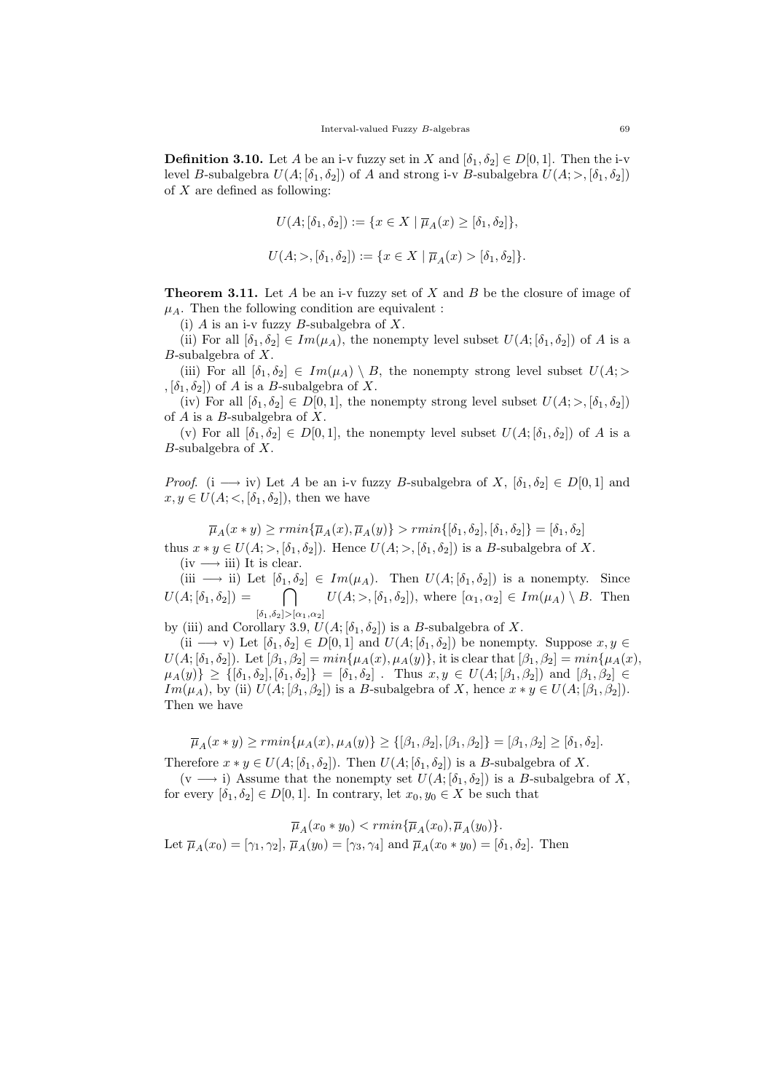**Definition 3.10.** Let A be an i-v fuzzy set in X and  $[\delta_1, \delta_2] \in D[0, 1]$ . Then the i-v level B-subalgebra  $U(A; [\delta_1, \delta_2])$  of A and strong i-v B-subalgebra  $U(A; >, [\delta_1, \delta_2])$ of  $X$  are defined as following:

$$
U(A; [\delta_1, \delta_2]) := \{ x \in X \mid \overline{\mu}_A(x) \geq [\delta_1, \delta_2] \},
$$
  

$$
U(A; >, [\delta_1, \delta_2]) := \{ x \in X \mid \overline{\mu}_A(x) > [\delta_1, \delta_2] \}.
$$

**Theorem 3.11.** Let A be an i-v fuzzy set of X and B be the closure of image of  $\mu_A$ . Then the following condition are equivalent :

(i)  $A$  is an i-v fuzzy  $B$ -subalgebra of  $X$ .

(ii) For all  $[\delta_1, \delta_2] \in Im(\mu_A)$ , the nonempty level subset  $U(A; [\delta_1, \delta_2])$  of A is a  $B$ -subalgebra of  $X$ .

(iii) For all  $[\delta_1, \delta_2] \in Im(\mu_A) \setminus B$ , the nonempty strong level subset  $U(A; >$  $,[\delta_1,\delta_2])$  of A is a B-subalgebra of X.

(iv) For all  $[\delta_1, \delta_2] \in D[0,1]$ , the nonempty strong level subset  $U(A; >, [\delta_1, \delta_2])$ of  $A$  is a  $B$ -subalgebra of  $X$ .

(v) For all  $[\delta_1, \delta_2] \in D[0,1]$ , the nonempty level subset  $U(A; [\delta_1, \delta_2])$  of A is a  $B$ -subalgebra of  $X$ .

*Proof.* (i  $\longrightarrow$  iv) Let A be an i-v fuzzy B-subalgebra of X,  $[\delta_1, \delta_2] \in D[0,1]$  and  $x, y \in U(A; <, [\delta_1, \delta_2])$ , then we have

$$
\overline{\mu}_A(x * y) \ge r \min\{\overline{\mu}_A(x), \overline{\mu}_A(y)\} > r \min\{[\delta_1, \delta_2], [\delta_1, \delta_2]\} = [\delta_1, \delta_2]
$$

thus  $x * y \in U(A; >, [\delta_1, \delta_2])$ . Hence  $U(A; >, [\delta_1, \delta_2])$  is a B-subalgebra of X.  $(iv \longrightarrow iii)$  It is clear.

(iii  $\longrightarrow$  ii) Let  $[\delta_1, \delta_2] \in Im(\mu_A)$ . Then  $U(A; [\delta_1, \delta_2])$  is a nonempty. Since  $U(A; [\delta_1, \delta_2]) = \begin{bmatrix} \ \ \end{bmatrix}$  $[\delta_1,\delta_2]{>}\allowbreak [\alpha_1,\alpha_2]$  $U(A;>,[\delta_1,\delta_2])$ , where  $[\alpha_1,\alpha_2] \in Im(\mu_A) \setminus B$ . Then

by (iii) and Corollary 3.9,  $U(A; [\delta_1, \delta_2])$  is a B-subalgebra of X.

(ii  $\longrightarrow$  v) Let  $[\delta_1, \delta_2] \in D[0, 1]$  and  $U(A; [\delta_1, \delta_2])$  be nonempty. Suppose  $x, y \in$  $U(A; [\delta_1, \delta_2])$ . Let  $[\beta_1, \beta_2] = min{\mu_A(x), \mu_A(y)}$ , it is clear that  $[\beta_1, \beta_2] = min{\mu_A(x)}$ ,  $\mu_A(y) \geq {\{}[\delta_1, \delta_2], [\delta_1, \delta_2]\} = [\delta_1, \delta_2]$ . Thus  $x, y \in U(A; [\beta_1, \beta_2])$  and  $[\beta_1, \beta_2] \in$  $Im(\mu_A)$ , by (ii)  $U(A; [\beta_1, \beta_2])$  is a B-subalgebra of X, hence  $x * y \in U(A; [\beta_1, \beta_2])$ . Then we have

 $\overline{\mu}_A(x * y) \geq rmin\{\mu_A(x), \mu_A(y)\} \geq {\{\beta_1, \beta_2\}, \{\beta_1, \beta_2\}} = [\beta_1, \beta_2] \geq [\delta_1, \delta_2].$ 

Therefore  $x * y \in U(A; [\delta_1, \delta_2])$ . Then  $U(A; [\delta_1, \delta_2])$  is a B-subalgebra of X.  $(v \longrightarrow i)$  Assume that the nonempty set  $U(A; [\delta_1, \delta_2])$  is a B-subalgebra of X,

for every  $[\delta_1, \delta_2] \in D[0, 1]$ . In contrary, let  $x_0, y_0 \in X$  be such that

$$
\overline{\mu}_A(x_0 * y_0) < rmin{\{\overline{\mu}_A(x_0), \overline{\mu}_A(y_0)\}}.
$$
  
Let  $\overline{\mu}_A(x_0) = [\gamma_1, \gamma_2], \overline{\mu}_A(y_0) = [\gamma_3, \gamma_4]$  and  $\overline{\mu}_A(x_0 * y_0) = [\delta_1, \delta_2]$ . Then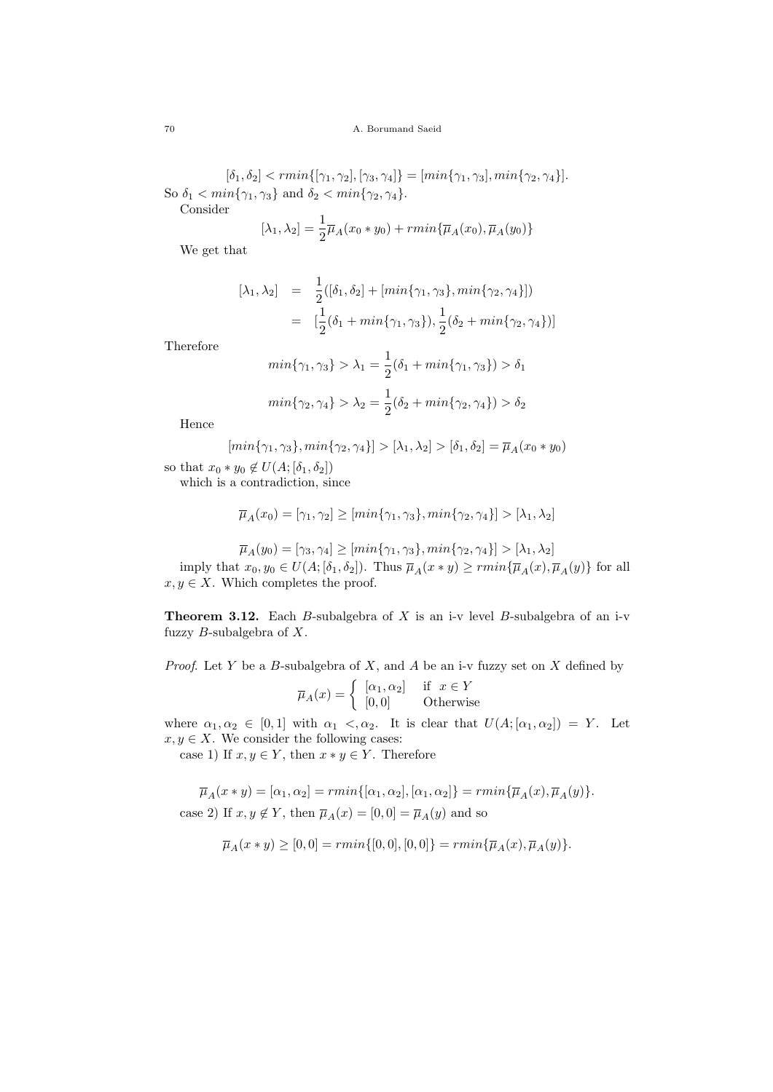$[\delta_1, \delta_2] < rmin\{[\gamma_1, \gamma_2], [\gamma_3, \gamma_4]\} = [min\{\gamma_1, \gamma_3], min\{\gamma_2, \gamma_4\}].$ So  $\delta_1 < \min\{\gamma_1, \gamma_3\}$  and  $\delta_2 < \min\{\gamma_2, \gamma_4\}.$ 

Consider

$$
[\lambda_1, \lambda_2] = \frac{1}{2}\overline{\mu}_A(x_0 * y_0) + rmin{\lbrace \overline{\mu}_A(x_0), \overline{\mu}_A(y_0) \rbrace}
$$

We get that

$$
[\lambda_1, \lambda_2] = \frac{1}{2} ([\delta_1, \delta_2] + [min{\gamma_1, \gamma_3}, min{\gamma_2, \gamma_4}])
$$
  

$$
= [\frac{1}{2} (\delta_1 + min{\gamma_1, \gamma_3}), \frac{1}{2} (\delta_2 + min{\gamma_2, \gamma_4})]
$$

1

Therefore

$$
min{\gamma_1, \gamma_3} > \lambda_1 = \frac{1}{2}(\delta_1 + min{\gamma_1, \gamma_3}) > \delta_1
$$
  

$$
min{\gamma_2, \gamma_4} > \lambda_2 = \frac{1}{2}(\delta_2 + min{\gamma_2, \gamma_4}) > \delta_2
$$

Hence

$$
[min{\gamma_1, \gamma_3}, min{\gamma_2, \gamma_4}] > [\lambda_1, \lambda_2] > [\delta_1, \delta_2] = \overline{\mu}_A(x_0 * y_0)
$$

so that  $x_0 * y_0 \notin U(A; [\delta_1, \delta_2])$ 

which is a contradiction, since

$$
\overline{\mu}_A(x_0) = [\gamma_1, \gamma_2] \ge [min{\gamma_1, \gamma_3}, min{\gamma_2, \gamma_4}] > [\lambda_1, \lambda_2]
$$

$$
\overline{\mu}_A(y_0) = [\gamma_3, \gamma_4] \ge [min{\gamma_1, \gamma_3}, min{\gamma_2, \gamma_4}] > [\lambda_1, \lambda_2]
$$

imply that  $x_0, y_0 \in U(A; [\delta_1, \delta_2])$ . Thus  $\overline{\mu}_A(x * y) \geq rmin{\{\overline{\mu}_A(x), \overline{\mu}_A(y)\}}$  for all  $x, y \in X$ . Which completes the proof.

**Theorem 3.12.** Each B-subalgebra of X is an i-v level B-subalgebra of an i-v fuzzy  $B$ -subalgebra of  $X$ .

*Proof.* Let Y be a B-subalgebra of X, and A be an i-v fuzzy set on X defined by

$$
\overline{\mu}_A(x) = \begin{cases}\n[\alpha_1, \alpha_2] & \text{if } x \in Y \\
[0, 0] & \text{Otherwise}\n\end{cases}
$$

where  $\alpha_1, \alpha_2 \in [0, 1]$  with  $\alpha_1 < \alpha_2$ . It is clear that  $U(A; [\alpha_1, \alpha_2]) = Y$ . Let  $x, y \in X$ . We consider the following cases:

case 1) If  $x, y \in Y$ , then  $x * y \in Y$ . Therefore

$$
\overline{\mu}_A(x * y) = [\alpha_1, \alpha_2] = rmin\{[\alpha_1, \alpha_2], [\alpha_1, \alpha_2]\} = rmin\{\overline{\mu}_A(x), \overline{\mu}_A(y)\}.
$$
  
case 2) If  $x, y \notin Y$ , then  $\overline{\mu}_A(x) = [0, 0] = \overline{\mu}_A(y)$  and so

$$
\overline{\mu}_A(x * y) \geq [0,0] = rmin\{[0,0],[0,0]\} = rmin\{\overline{\mu}_A(x),\overline{\mu}_A(y)\}.
$$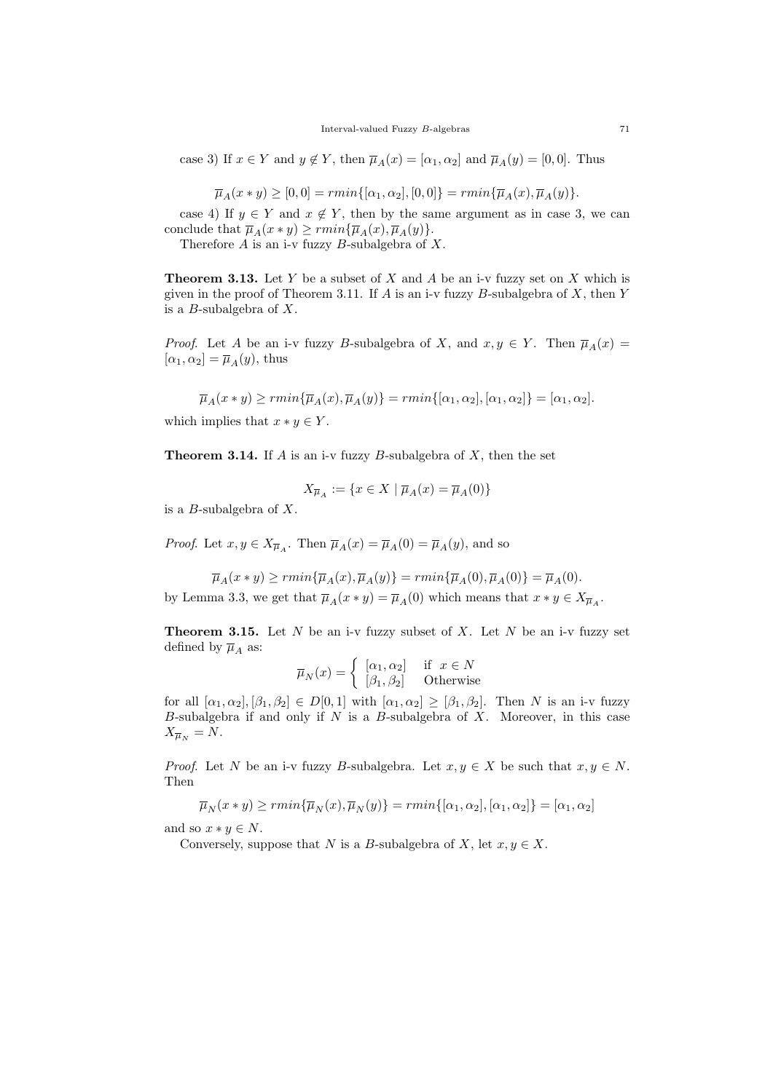case 3) If  $x \in Y$  and  $y \notin Y$ , then  $\overline{\mu}_A(x) = [\alpha_1, \alpha_2]$  and  $\overline{\mu}_A(y) = [0, 0]$ . Thus

$$
\overline{\mu}_A(x * y) \ge [0, 0] = rmin\{[\alpha_1, \alpha_2], [0, 0]\} = rmin\{\overline{\mu}_A(x), \overline{\mu}_A(y)\}.
$$

case 4) If  $y \in Y$  and  $x \notin Y$ , then by the same argument as in case 3, we can conclude that  $\overline{\mu}_A(x * y) \geq rmin{\{\overline{\mu}_A(x), \overline{\mu}_A(y)\}}$ .

Therefore  $A$  is an i-v fuzzy  $B$ -subalgebra of  $X$ .

**Theorem 3.13.** Let Y be a subset of X and A be an i-v fuzzy set on X which is given in the proof of Theorem 3.11. If  $A$  is an i-v fuzzy  $B$ -subalgebra of  $X$ , then  $Y$ is a *B*-subalgebra of  $X$ .

*Proof.* Let A be an i-v fuzzy B-subalgebra of X, and  $x, y \in Y$ . Then  $\overline{\mu}_A(x) =$  $[\alpha_1, \alpha_2] = \overline{\mu}_A(y)$ , thus

 $\overline{\mu}_A(x * y) \geq rmin{\{\overline{\mu}_A(x), \overline{\mu}_A(y)\}} = rmin{\{\alpha_1, \alpha_2\}}, |\alpha_1, \alpha_2|\} = |\alpha_1, \alpha_2|.$ 

which implies that  $x * y \in Y$ .

**Theorem 3.14.** If A is an i-v fuzzy B-subalgebra of X, then the set

$$
X_{\overline{\mu}_A} := \{ x \in X \mid \overline{\mu}_A(x) = \overline{\mu}_A(0) \}
$$

is a  $B$ -subalgebra of  $X$ .

*Proof.* Let  $x, y \in X_{\overline{\mu}_A}$ . Then  $\overline{\mu}_A(x) = \overline{\mu}_A(0) = \overline{\mu}_A(y)$ , and so

 $\overline{\mu}_A(x * y) \geq r \min \{ \overline{\mu}_A(x), \overline{\mu}_A(y) \} = r \min \{ \overline{\mu}_A(0), \overline{\mu}_A(0) \} = \overline{\mu}_A(0).$ by Lemma 3.3, we get that  $\overline{\mu}_A(x * y) = \overline{\mu}_A(0)$  which means that  $x * y \in X_{\overline{\mu}_A}$ .

**Theorem 3.15.** Let N be an i-v fuzzy subset of X. Let N be an i-v fuzzy set defined by  $\overline{\mu}_A$  as:

$$
\overline{\mu}_N(x) = \begin{cases}\n[\alpha_1, \alpha_2] & \text{if } x \in N \\
[\beta_1, \beta_2] & \text{Otherwise}\n\end{cases}
$$

for all  $[\alpha_1, \alpha_2], [\beta_1, \beta_2] \in D[0,1]$  with  $[\alpha_1, \alpha_2] \geq [\beta_1, \beta_2]$ . Then N is an i-v fuzzy B-subalgebra if and only if  $N$  is a B-subalgebra of  $X$ . Moreover, in this case  $X_{\overline{\mu}_N} = N.$ 

*Proof.* Let N be an i-v fuzzy B-subalgebra. Let  $x, y \in X$  be such that  $x, y \in N$ . Then

$$
\overline{\mu}_N(x*y)\geq rmin\{\overline{\mu}_N(x),\overline{\mu}_N(y)\}=rmin\{[\alpha_1,\alpha_2],[\alpha_1,\alpha_2]\}=[\alpha_1,\alpha_2]
$$

and so  $x * y \in N$ .

Conversely, suppose that N is a B-subalgebra of X, let  $x, y \in X$ .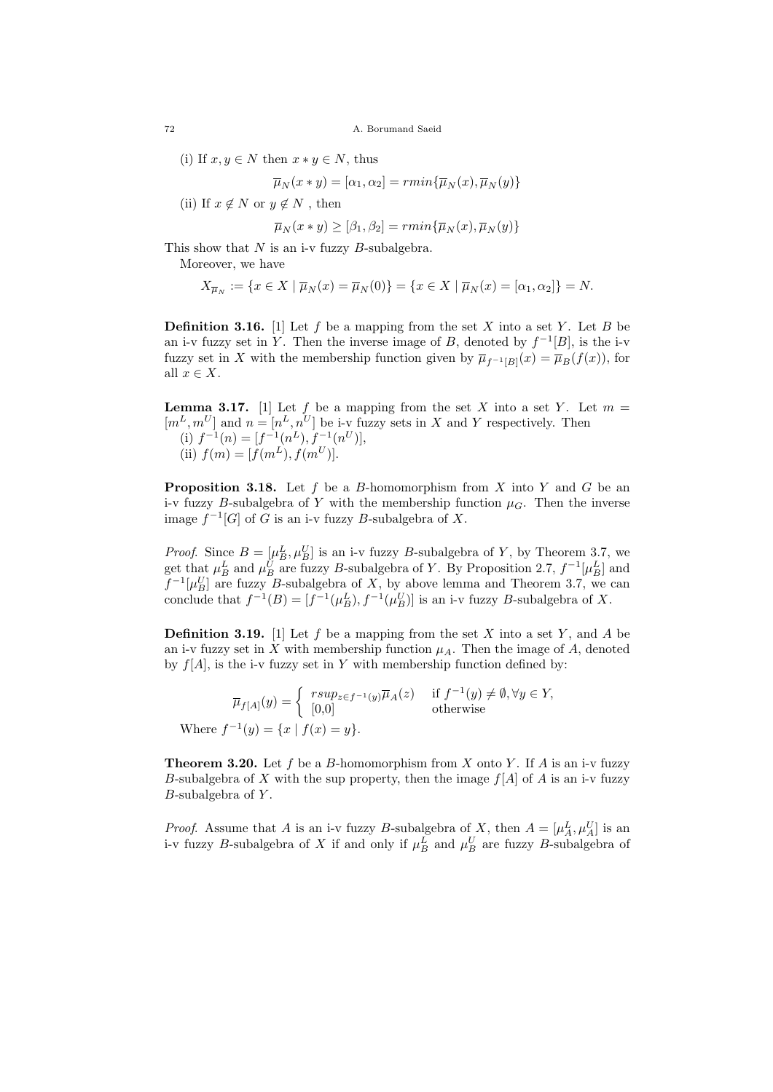72 A. Borumand Saeid

(i) If  $x, y \in N$  then  $x * y \in N$ , thus

$$
\overline{\mu}_N(x * y) = [\alpha_1, \alpha_2] = rmin{\{\overline{\mu}_N(x), \overline{\mu}_N(y)\}}
$$

(ii) If  $x \notin N$  or  $y \notin N$ , then

$$
\overline{\mu}_N(x * y) \geq [\beta_1, \beta_2] = r \min \{ \overline{\mu}_N(x), \overline{\mu}_N(y) \}
$$

This show that  $N$  is an i-v fuzzy  $B$ -subalgebra.

Moreover, we have

W<sub>1</sub>

$$
X_{\overline{\mu}_N} := \{ x \in X \mid \overline{\mu}_N(x) = \overline{\mu}_N(0) \} = \{ x \in X \mid \overline{\mu}_N(x) = [\alpha_1, \alpha_2] \} = N.
$$

**Definition 3.16.** [1] Let f be a mapping from the set X into a set Y. Let B be an i-v fuzzy set in Y. Then the inverse image of B, denoted by  $f^{-1}[B]$ , is the i-v fuzzy set in X with the membership function given by  $\overline{\mu}_{f^{-1}[B]}(x) = \overline{\mu}_B(f(x))$ , for all  $x \in X$ .

**Lemma 3.17.** [1] Let f be a mapping from the set X into a set Y. Let  $m =$  $[m<sup>L</sup>, m<sup>U</sup>]$  and  $n = [n<sup>L</sup>, n<sup>U</sup>]$  be i-v fuzzy sets in X and Y respectively. Then (i)  $f^{-1}(n) = [f^{-1}(n^L), f^{-1}(n^U)],$ (ii)  $f(m) = [f(m^L), f(m^U)].$ 

**Proposition 3.18.** Let f be a B-homomorphism from X into Y and G be an i-v fuzzy B-subalgebra of Y with the membership function  $\mu_G$ . Then the inverse image  $f^{-1}[G]$  of G is an i-v fuzzy B-subalgebra of X.

*Proof.* Since  $B = [\mu_B^L, \mu_B^U]$  is an i-v fuzzy B-subalgebra of Y, by Theorem 3.7, we get that  $\mu_B^L$  and  $\mu_B^U$  are fuzzy B-subalgebra of Y. By Proposition 2.7,  $f^{-1}[\mu_B^L]$  and  $f^{-1}[\mu_B^U]$  are fuzzy B-subalgebra of X, by above lemma and Theorem 3.7, we can conclude that  $f^{-1}(B) = [f^{-1}(\mu_B^L), f^{-1}(\mu_B^U)]$  is an i-v fuzzy B-subalgebra of X.

**Definition 3.19.** [1] Let f be a mapping from the set X into a set Y, and A be an i-v fuzzy set in X with membership function  $\mu_A$ . Then the image of A, denoted by  $f[A]$ , is the i-v fuzzy set in Y with membership function defined by:

$$
\overline{\mu}_{f[A]}(y) = \begin{cases}\nrsup_{z \in f^{-1}(y)} \overline{\mu}_A(z) & \text{if } f^{-1}(y) \neq \emptyset, \forall y \in Y, \\
[0,0] & \text{otherwise}\n\end{cases}
$$
\nhere  $f^{-1}(y) = \{x \mid f(x) = y\}.$ 

**Theorem 3.20.** Let f be a B-homomorphism from X onto Y. If A is an i-v fuzzy B-subalgebra of X with the sup property, then the image  $f[A]$  of A is an i-v fuzzy  $B$ -subalgebra of  $Y$ .

*Proof.* Assume that A is an i-v fuzzy B-subalgebra of X, then  $A = [\mu_A^L, \mu_A^U]$  is an i-v fuzzy B-subalgebra of X if and only if  $\mu_B^L$  and  $\mu_B^U$  are fuzzy B-subalgebra of